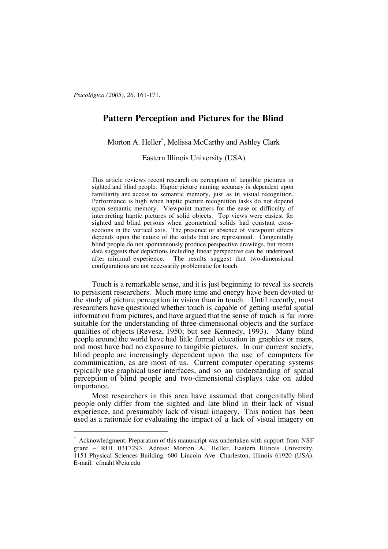*Psicológica (2005), 26,* 161-171.

# **Pattern Perception and Pictures for the Blind**

Morton A. Heller\* , Melissa McCarthy and Ashley Clark

Eastern Illinois University (USA)

This article reviews recent research on perception of tangible pictures in sighted and blind people. Haptic picture naming accuracy is dependent upon familiarity and access to semantic memory, just as in visual recognition. Performance is high when haptic picture recognition tasks do not depend upon semantic memory. Viewpoint matters for the ease or difficulty of interpreting haptic pictures of solid objects. Top views were easiest for sighted and blind persons when geometrical solids had constant crosssections in the vertical axis. The presence or absence of viewpoint effects depends upon the nature of the solids that are represented. Congenitally blind people do not spontaneously produce perspective drawings, but recent data suggests that depictions including linear perspective can be understood after minimal experience. The results suggest that two-dimensional configurations are not necessarily problematic for touch.

Touch is a remarkable sense, and it is just beginning to reveal its secrets to persistent researchers. Much more time and energy have been devoted to the study of picture perception in vision than in touch. Until recently, most researchers have questioned whether touch is capable of getting useful spatial information from pictures, and have argued that the sense of touch is far more suitable for the understanding of three-dimensional objects and the surface qualities of objects (Revesz, 1950; but see Kennedy, 1993). Many blind people around the world have had little formal education in graphics or maps, and most have had no exposure to tangible pictures. In our current society, blind people are increasingly dependent upon the use of computers for communication, as are most of us. Current computer operating systems typically use graphical user interfaces, and so an understanding of spatial perception of blind people and two-dimensional displays take on added importance.

Most researchers in this area have assumed that congenitally blind people only differ from the sighted and late blind in their lack of visual experience, and presumably lack of visual imagery. This notion has been used as a rationale for evaluating the impact of a lack of visual imagery on

Acknowledgment: Preparation of this manuscript was undertaken with support from NSF grant – RUI 0317293. Adress: Morton A. Heller. Eastern Illinois University. 1151 Physical Sciences Building. 600 Lincoln Ave. Charleston, Illinois 61920 (USA). E-mail: cfmah1@eiu.edu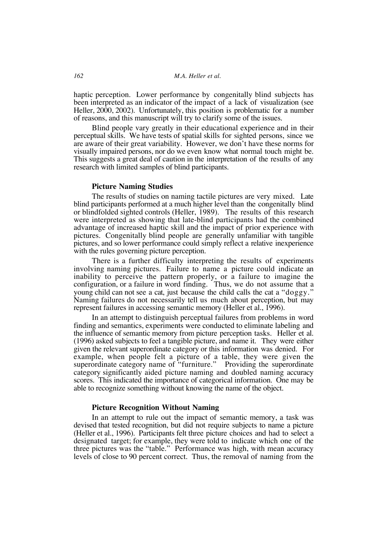haptic perception. Lower performance by congenitally blind subjects has been interpreted as an indicator of the impact of a lack of visualization (see Heller, 2000, 2002). Unfortunately, this position is problematic for a number of reasons, and this manuscript will try to clarify some of the issues.

Blind people vary greatly in their educational experience and in their perceptual skills. We have tests of spatial skills for sighted persons, since we are aware of their great variability. However, we don't have these norms for visually impaired persons, nor do we even know what normal touch might be. This suggests a great deal of caution in the interpretation of the results of any research with limited samples of blind participants.

### **Picture Naming Studies**

The results of studies on naming tactile pictures are very mixed. Late blind participants performed at a much higher level than the congenitally blind or blindfolded sighted controls (Heller, 1989). The results of this research were interpreted as showing that late-blind participants had the combined advantage of increased haptic skill and the impact of prior experience with pictures. Congenitally blind people are generally unfamiliar with tangible pictures, and so lower performance could simply reflect a relative inexperience with the rules governing picture perception.

There is a further difficulty interpreting the results of experiments involving naming pictures. Failure to name a picture could indicate an inability to perceive the pattern properly, or a failure to imagine the configuration, or a failure in word finding. Thus, we do not assume that a young child can not see a cat, just because the child calls the cat a "doggy." Naming failures do not necessarily tell us much about perception, but may represent failures in accessing semantic memory (Heller et al., 1996).

In an attempt to distinguish perceptual failures from problems in word finding and semantics, experiments were conducted to eliminate labeling and the influence of semantic memory from picture perception tasks. Heller et al. (1996) asked subjects to feel a tangible picture, and name it. They were either given the relevant superordinate category or this information was denied. For example, when people felt a picture of a table, they were given the superordinate category name of "furniture." Providing the superordinate category significantly aided picture naming and doubled naming accuracy scores. This indicated the importance of categorical information. One may be able to recognize something without knowing the name of the object.

## **Picture Recognition Without Naming**

In an attempt to rule out the impact of semantic memory, a task was devised that tested recognition, but did not require subjects to name a picture (Heller et al., 1996). Participants felt three picture choices and had to select a designated target; for example, they were told to indicate which one of the three pictures was the "table." Performance was high, with mean accuracy levels of close to 90 percent correct. Thus, the removal of naming from the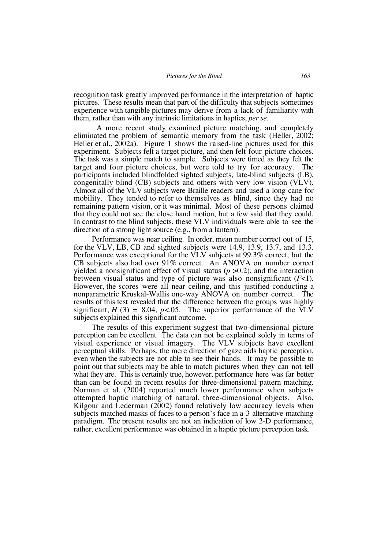recognition task greatly improved performance in the interpretation of haptic pictures. These results mean that part of the difficulty that subjects sometimes experience with tangible pictures may derive from a lack of familiarity with them, rather than with any intrinsic limitations in haptics, *per se*.

A more recent study examined picture matching, and completely eliminated the problem of semantic memory from the task (Heller, 2002; Heller et al., 2002a). Figure 1 shows the raised-line pictures used for this experiment. Subjects felt a target picture, and then felt four picture choices. The task was a simple match to sample. Subjects were timed as they felt the target and four picture choices, but were told to try for accuracy. The participants included blindfolded sighted subjects, late-blind subjects (LB), congenitally blind (CB) subjects and others with very low vision (VLV). Almost all of the VLV subjects were Braille readers and used a long cane for mobility. They tended to refer to themselves as blind, since they had no remaining pattern vision, or it was minimal. Most of these persons claimed that they could not see the close hand motion, but a few said that they could. In contrast to the blind subjects, these VLV individuals were able to see the direction of a strong light source (e.g., from a lantern).

Performance was near ceiling. In order, mean number correct out of 15, for the VLV, LB, CB and sighted subjects were 14.9, 13.9, 13.7, and 13.3. Performance was exceptional for the VLV subjects at 99.3% correct, but the CB subjects also had over 91% correct. An ANOVA on number correct yielded a nonsignificant effect of visual status  $(p > 0.2)$ , and the interaction between visual status and type of picture was also nonsignificant (*F*<1). However, the scores were all near ceiling, and this justified conducting a nonparametric Kruskal-Wallis one-way ANOVA on number correct. The results of this test revealed that the difference between the groups was highly significant,  $H(3) = 8.04$ ,  $p < .05$ . The superior performance of the VLV subjects explained this significant outcome.

The results of this experiment suggest that two-dimensional picture perception can be excellent. The data can not be explained solely in terms of visual experience or visual imagery. The VLV subjects have excellent perceptual skills. Perhaps, the mere direction of gaze aids haptic perception, even when the subjects are not able to see their hands. It may be possible to point out that subjects may be able to match pictures when they can not tell what they are. This is certainly true, however, performance here was far better than can be found in recent results for three-dimensional pattern matching. Norman et al. (2004) reported much lower performance when subjects attempted haptic matching of natural, three-dimensional objects. Also, Kilgour and Lederman (2002) found relatively low accuracy levels when subjects matched masks of faces to a person's face in a 3 alternative matching paradigm. The present results are not an indication of low 2-D performance, rather, excellent performance was obtained in a haptic picture perception task.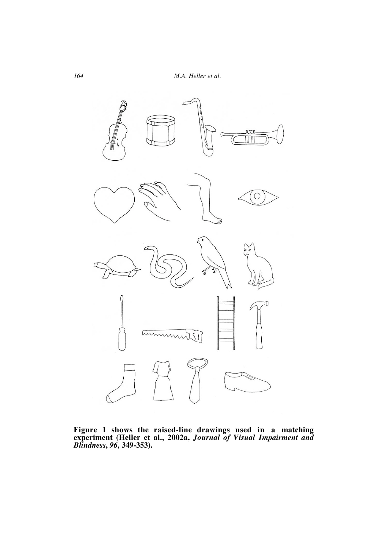

**Figure 1 shows the raised-line drawings used in a matching experiment (Heller et al., 2002a,** *Journal of Visual Impairment and Blindness***,** *96,* **349-353).**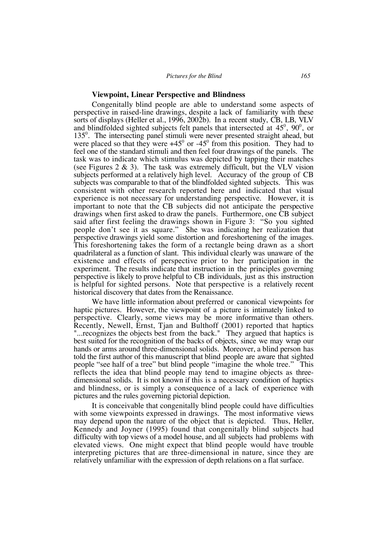#### **Viewpoint, Linear Perspective and Blindness**

Congenitally blind people are able to understand some aspects of perspective in raised-line drawings, despite a lack of familiarity with these sorts of displays (Heller et al., 1996, 2002b). In a recent study, CB, LB, VLV and blindfolded sighted subjects felt panels that intersected at  $45^{\circ}$ ,  $90^{\circ}$ , or 135<sup>0</sup>. The intersecting panel stimuli were never presented straight ahead, but were placed so that they were  $+45^{\circ}$  or  $-45^{\circ}$  from this position. They had to feel one of the standard stimuli and then feel four drawings of the panels. The task was to indicate which stimulus was depicted by tapping their matches (see Figures  $2 \& 3$ ). The task was extremely difficult, but the VLV vision subjects performed at a relatively high level. Accuracy of the group of CB subjects was comparable to that of the blindfolded sighted subjects. This was consistent with other research reported here and indicated that visual experience is not necessary for understanding perspective. However, it is important to note that the CB subjects did not anticipate the perspective drawings when first asked to draw the panels. Furthermore, one CB subject said after first feeling the drawings shown in Figure 3: "So you sighted people don't see it as square." She was indicating her realization that perspective drawings yield some distortion and foreshortening of the images. This foreshortening takes the form of a rectangle being drawn as a short quadrilateral as a function of slant. This individual clearly was unaware of the existence and effects of perspective prior to her participation in the experiment. The results indicate that instruction in the principles governing perspective is likely to prove helpful to CB individuals, just as this instruction is helpful for sighted persons. Note that perspective is a relatively recent historical discovery that dates from the Renaissance.

We have little information about preferred or canonical viewpoints for haptic pictures. However, the viewpoint of a picture is intimately linked to perspective. Clearly, some views may be more informative than others. Recently, Newell, Ernst, Tjan and Bulthoff (2001) reported that haptics "...recognizes the objects best from the back." They argued that haptics is best suited for the recognition of the backs of objects, since we may wrap our hands or arms around three-dimensional solids. Moreover, a blind person has told the first author of this manuscript that blind people are aware that sighted people "see half of a tree" but blind people "imagine the whole tree." This reflects the idea that blind people may tend to imagine objects as threedimensional solids. It is not known if this is a necessary condition of haptics and blindness, or is simply a consequence of a lack of experience with pictures and the rules governing pictorial depiction.

It is conceivable that congenitally blind people could have difficulties with some viewpoints expressed in drawings. The most informative views may depend upon the nature of the object that is depicted. Thus, Heller, Kennedy and Joyner (1995) found that congenitally blind subjects had difficulty with top views of a model house, and all subjects had problems with elevated views. One might expect that blind people would have trouble interpreting pictures that are three-dimensional in nature, since they are relatively unfamiliar with the expression of depth relations on a flat surface.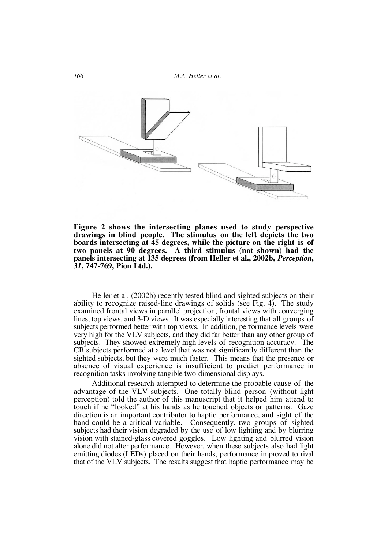

**Figure 2 shows the intersecting planes used to study perspective drawings in blind people. The stimulus on the left depicts the two boards intersecting at 45 degrees, while the picture on the right is of two panels at 90 degrees. A third stimulus (not shown) had the panels intersecting at 135 degrees (from Heller et al., 2002b,** *Perception***,** *<sup>31</sup>***, 747-769, Pion Ltd.).**

Heller et al. (2002b) recently tested blind and sighted subjects on their ability to recognize raised-line drawings of solids (see Fig. 4). The study examined frontal views in parallel projection, frontal views with converging lines, top views, and 3-D views. It was especially interesting that all groups of subjects performed better with top views. In addition, performance levels were very high for the VLV subjects, and they did far better than any other group of subjects. They showed extremely high levels of recognition accuracy. The CB subjects performed at a level that was not significantly different than the sighted subjects, but they were much faster. This means that the presence or absence of visual experience is insufficient to predict performance in recognition tasks involving tangible two-dimensional displays.

Additional research attempted to determine the probable cause of the advantage of the VLV subjects. One totally blind person (without light perception) told the author of this manuscript that it helped him attend to touch if he "looked" at his hands as he touched objects or patterns. Gaze direction is an important contributor to haptic performance, and sight of the hand could be a critical variable. Consequently, two groups of sighted subjects had their vision degraded by the use of low lighting and by blurring vision with stained-glass covered goggles. Low lighting and blurred vision alone did not alter performance. However, when these subjects also had light emitting diodes (LEDs) placed on their hands, performance improved to rival that of the VLV subjects. The results suggest that haptic performance may be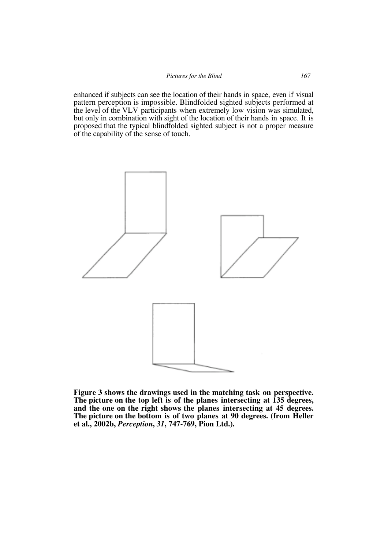enhanced if subjects can see the location of their hands in space, even if visual pattern perception is impossible. Blindfolded sighted subjects performed at the level of the VLV participants when extremely low vision was simulated, but only in combination with sight of the location of their hands in space. It is proposed that the typical blindfolded sighted subject is not a proper measure of the capability of the sense of touch.



**Figure 3 shows the drawings used in the matching task on perspective. The picture on the top left is of the planes intersecting at 135 degrees, and the one on the right shows the planes intersecting at 45 degrees. The picture on the bottom is of two planes at 90 degrees. (from Heller et al., 2002b,** *Perception***,** *31***, 747-769, Pion Ltd.).**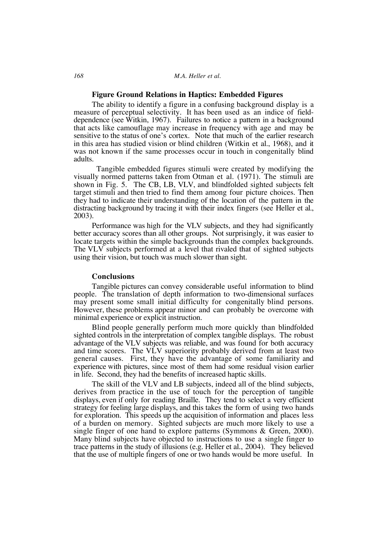## **Figure Ground Relations in Haptics: Embedded Figures**

The ability to identify a figure in a confusing background display is a measure of perceptual selectivity. It has been used as an indice of fielddependence (see Witkin, 1967). Failures to notice a pattern in a background that acts like camouflage may increase in frequency with age and may be sensitive to the status of one's cortex. Note that much of the earlier research in this area has studied vision or blind children (Witkin et al., 1968), and it was not known if the same processes occur in touch in congenitally blind adults.

Tangible embedded figures stimuli were created by modifying the visually normed patterns taken from Otman et al. (1971). The stimuli are shown in Fig. 5. The CB, LB, VLV, and blindfolded sighted subjects felt target stimuli and then tried to find them among four picture choices. Then they had to indicate their understanding of the location of the pattern in the distracting background by tracing it with their index fingers (see Heller et al., 2003).

Performance was high for the VLV subjects, and they had significantly better accuracy scores than all other groups. Not surprisingly, it was easier to locate targets within the simple backgrounds than the complex backgrounds. The VLV subjects performed at a level that rivaled that of sighted subjects using their vision, but touch was much slower than sight.

# **Conclusions**

Tangible pictures can convey considerable useful information to blind people. The translation of depth information to two-dimensional surfaces may present some small initial difficulty for congenitally blind persons. However, these problems appear minor and can probably be overcome with minimal experience or explicit instruction.

Blind people generally perform much more quickly than blindfolded sighted controls in the interpretation of complex tangible displays. The robust advantage of the VLV subjects was reliable, and was found for both accuracy and time scores. The VLV superiority probably derived from at least two general causes. First, they have the advantage of some familiarity and experience with pictures, since most of them had some residual vision earlier in life. Second, they had the benefits of increased haptic skills.

The skill of the VLV and LB subjects, indeed all of the blind subjects, derives from practice in the use of touch for the perception of tangible displays, even if only for reading Braille. They tend to select a very efficient strategy for feeling large displays, and this takes the form of using two hands for exploration. This speeds up the acquisition of information and places less of a burden on memory. Sighted subjects are much more likely to use a single finger of one hand to explore patterns (Symmons & Green, 2000). Many blind subjects have objected to instructions to use a single finger to trace patterns in the study of illusions (e.g. Heller et al., 2004). They believed that the use of multiple fingers of one or two hands would be more useful. In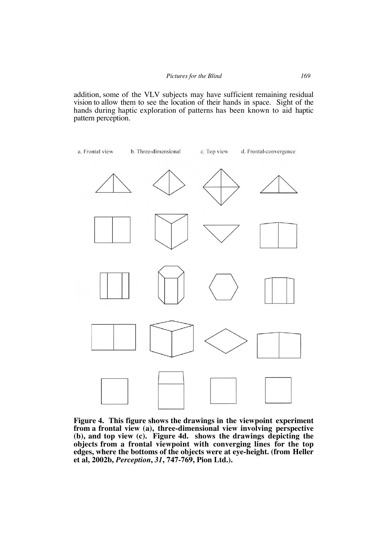addition, some of the VLV subjects may have sufficient remaining residual vision to allow them to see the location of their hands in space. Sight of the hands during haptic exploration of patterns has been known to aid haptic pattern perception.



**Figure 4. This figure shows the drawings in the viewpoint experiment from a frontal view (a), three-dimensional view involving perspective (b), and top view (c). Figure 4d. shows the drawings depicting the objects from a frontal viewpoint with converging lines for the top edges, where the bottoms of the objects were at eye-height. (from Heller et al, 2002b,** *Perception***,** *31***, 747-769, Pion Ltd.).**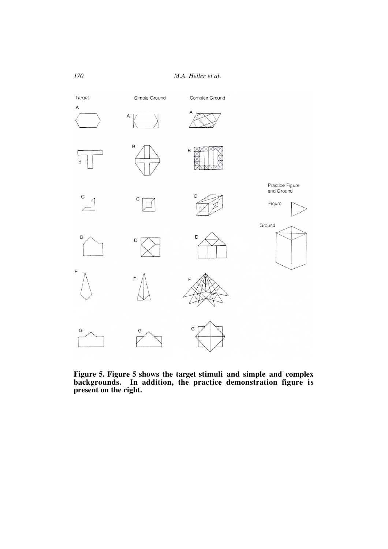

**Figure 5. Figure 5 shows the target stimuli and simple and complex backgrounds. In addition, the practice demonstration figure is present on the right.**